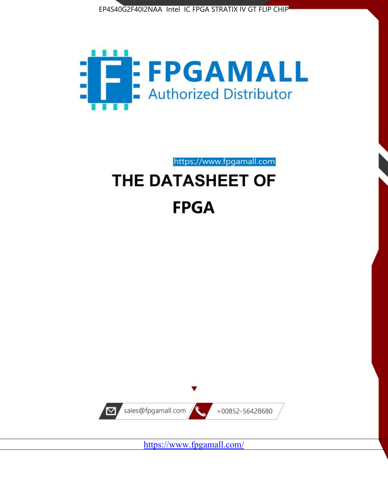



https://www.fpgamall.com

# THE DATASHEET OF **FPGA**



<https://www.fpgamall.com/>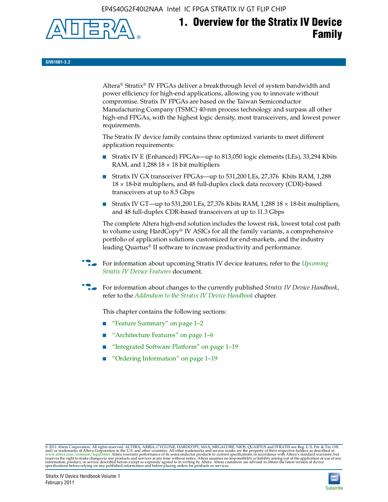EP4S40G2F40I2NAA Intel IC FPGA STRATIX IV GT FLIP CHIP



## **1. Overview for the Stratix IV Device Family**

**SIV51001-3.2**

Altera® Stratix® IV FPGAs deliver a breakthrough level of system bandwidth and power efficiency for high-end applications, allowing you to innovate without compromise. Stratix IV FPGAs are based on the Taiwan Semiconductor Manufacturing Company (TSMC) 40-nm process technology and surpass all other high-end FPGAs, with the highest logic density, most transceivers, and lowest power requirements.

The Stratix IV device family contains three optimized variants to meet different application requirements:

- Stratix IV E (Enhanced) FPGAs—up to 813,050 logic elements (LEs), 33,294 Kbits RAM, and  $1,288$   $18 \times 18$  bit multipliers
- Stratix IV GX transceiver FPGAs—up to 531,200 LEs, 27,376 Kbits RAM, 1,288 18 × 18-bit multipliers, and 48 full-duplex clock data recovery (CDR)-based transceivers at up to 8.5 Gbps
- Stratix IV GT—up to 531,200 LEs, 27,376 Kbits RAM, 1,288 18  $\times$  18-bit multipliers, and 48 full-duplex CDR-based transceivers at up to 11.3 Gbps

The complete Altera high-end solution includes the lowest risk, lowest total cost path to volume using HardCopy® IV ASICs for all the family variants, a comprehensive portfolio of application solutions customized for end-markets, and the industry leading Quartus® II software to increase productivity and performance.

f For information about upcoming Stratix IV device features, refer to the *[Upcoming](http://www.altera.com/literature/hb/stratix-iv/uf01001.pdf?GSA_pos=2&WT.oss_r=1&WT.oss=upcoming)  [Stratix IV Device Features](http://www.altera.com/literature/hb/stratix-iv/uf01001.pdf?GSA_pos=2&WT.oss_r=1&WT.oss=upcoming)* document.

f For information about changes to the currently published *Stratix IV Device Handbook*, refer to the *[Addendum to the Stratix IV Device Handbook](http://www.altera.com/literature/hb/stratix-iv/stx4_siv54002.pdf)* chapter.

This chapter contains the following sections:

- "Feature Summary" on page 1–2
- "Architecture Features" on page 1–6
- "Integrated Software Platform" on page 1–19
- "Ordering Information" on page 1–19

© 2011 Altera Corporation. All rights reserved. ALTERA, ARRIA, CYCLONE, HARDCOPY, MAX, MEGACORE, NIOS, QUARTUS and STRATIX are Reg. U.S. Pat. & Tm. Off.<br>and/or trademarks of Altera Corporation in the U.S. and other countri

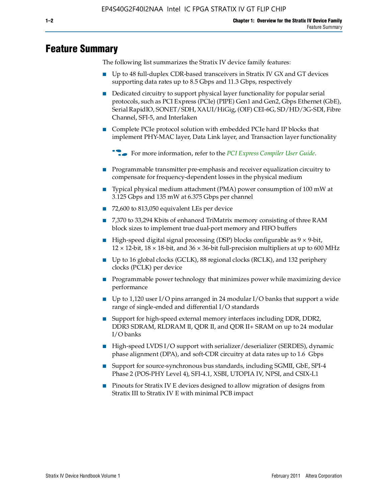### **Feature Summary**

The following list summarizes the Stratix IV device family features:

- Up to 48 full-duplex CDR-based transceivers in Stratix IV GX and GT devices supporting data rates up to 8.5 Gbps and 11.3 Gbps, respectively
- Dedicated circuitry to support physical layer functionality for popular serial protocols, such as PCI Express (PCIe) (PIPE) Gen1 and Gen2, Gbps Ethernet (GbE), Serial RapidIO, SONET/SDH, XAUI/HiGig, (OIF) CEI-6G, SD/HD/3G-SDI, Fibre Channel, SFI-5, and Interlaken
- Complete PCIe protocol solution with embedded PCIe hard IP blocks that implement PHY-MAC layer, Data Link layer, and Transaction layer functionality

**for more information, refer to the [PCI Express Compiler User Guide](http://www.altera.com/literature/ug/ug_pci_express.pdf).** 

- Programmable transmitter pre-emphasis and receiver equalization circuitry to compensate for frequency-dependent losses in the physical medium
- Typical physical medium attachment (PMA) power consumption of 100 mW at 3.125 Gbps and 135 mW at 6.375 Gbps per channel
- 72,600 to 813,050 equivalent LEs per device
- 7,370 to 33,294 Kbits of enhanced TriMatrix memory consisting of three RAM block sizes to implement true dual-port memory and FIFO buffers
- High-speed digital signal processing (DSP) blocks configurable as 9 × 9-bit,  $12 \times 12$ -bit,  $18 \times 18$ -bit, and  $36 \times 36$ -bit full-precision multipliers at up to 600 MHz
- Up to 16 global clocks (GCLK), 88 regional clocks (RCLK), and 132 periphery clocks (PCLK) per device
- Programmable power technology that minimizes power while maximizing device performance
- Up to 1,120 user I/O pins arranged in 24 modular I/O banks that support a wide range of single-ended and differential I/O standards
- Support for high-speed external memory interfaces including DDR, DDR2, DDR3 SDRAM, RLDRAM II, QDR II, and QDR II+ SRAM on up to 24 modular I/O banks
- High-speed LVDS I/O support with serializer/deserializer (SERDES), dynamic phase alignment (DPA), and soft-CDR circuitry at data rates up to 1.6 Gbps
- Support for source-synchronous bus standards, including SGMII, GbE, SPI-4 Phase 2 (POS-PHY Level 4), SFI-4.1, XSBI, UTOPIA IV, NPSI, and CSIX-L1
- Pinouts for Stratix IV E devices designed to allow migration of designs from Stratix III to Stratix IV E with minimal PCB impact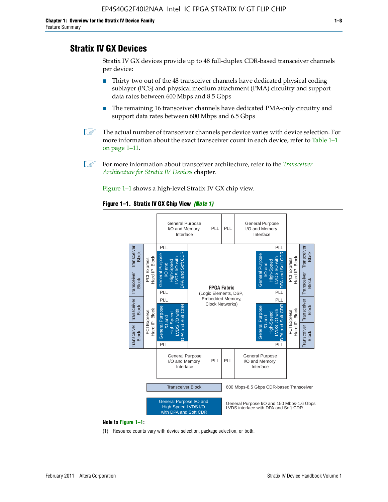### **Stratix IV GX Devices**

Stratix IV GX devices provide up to 48 full-duplex CDR-based transceiver channels per device:

- Thirty-two out of the 48 transceiver channels have dedicated physical coding sublayer (PCS) and physical medium attachment (PMA) circuitry and support data rates between 600 Mbps and 8.5 Gbps
- The remaining 16 transceiver channels have dedicated PMA-only circuitry and support data rates between 600 Mbps and 6.5 Gbps
- **1 The actual number of transceiver channels per device varies with device selection. For** more information about the exact transceiver count in each device, refer to Table 1–1 on page 1–11.
- 1 For more information about transceiver architecture, refer to the *[Transceiver](http://www/literature/hb/stratix-iv/stx4_siv52001.pdf)  [Architecture for Stratix IV Devices](http://www/literature/hb/stratix-iv/stx4_siv52001.pdf)* chapter.

Figure 1–1 shows a high-level Stratix IV GX chip view.

#### **Figure 1–1. Stratix IV GX Chip View** *(Note 1)*



(1) Resource counts vary with device selection, package selection, or both.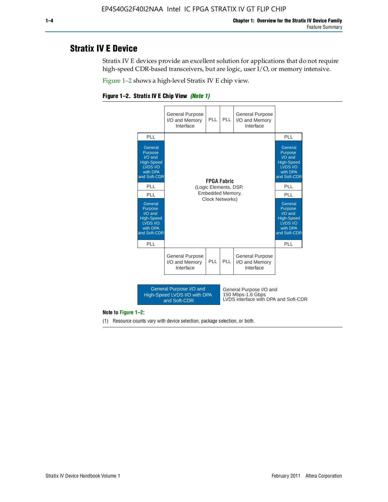### **Stratix IV E Device**

Stratix IV E devices provide an excellent solution for applications that do not require high-speed CDR-based transceivers, but are logic, user I/O, or memory intensive.

Figure 1–2 shows a high-level Stratix IV E chip view.

#### **Figure 1–2. Stratix IV E Chip View** *(Note 1)*



#### **Note to Figure 1–2:**

(1) Resource counts vary with device selection, package selection, or both.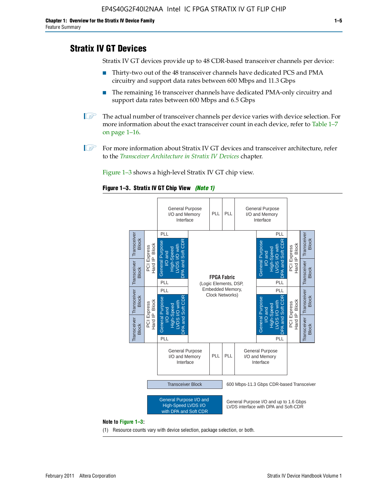### **Stratix IV GT Devices**

Stratix IV GT devices provide up to 48 CDR-based transceiver channels per device:

- Thirty-two out of the 48 transceiver channels have dedicated PCS and PMA circuitry and support data rates between 600 Mbps and 11.3 Gbps
- The remaining 16 transceiver channels have dedicated PMA-only circuitry and support data rates between 600 Mbps and 6.5 Gbps
- **1 The actual number of transceiver channels per device varies with device selection. For** more information about the exact transceiver count in each device, refer to Table 1–7 on page 1–16.
- $\mathbb{I}$  For more information about Stratix IV GT devices and transceiver architecture, refer to the *[Transceiver Architecture in Stratix IV Devices](http://www/literature/hb/stratix-iv/stx4_siv52001.pdf)* chapter.

Figure 1–3 shows a high-level Stratix IV GT chip view.

#### **Figure 1–3. Stratix IV GT Chip View** *(Note 1)*



(1) Resource counts vary with device selection, package selection, or both.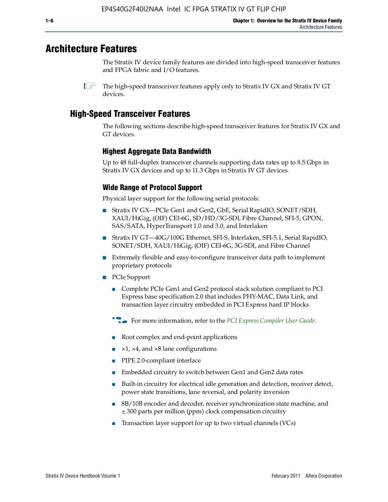### **Architecture Features**

The Stratix IV device family features are divided into high-speed transceiver features and FPGA fabric and I/O features.

### **High-Speed Transceiver Features**

The following sections describe high-speed transceiver features for Stratix IV GX and GT devices.

#### **Highest Aggregate Data Bandwidth**

Up to 48 full-duplex transceiver channels supporting data rates up to 8.5 Gbps in Stratix IV GX devices and up to 11.3 Gbps in Stratix IV GT devices.

#### **Wide Range of Protocol Support**

Physical layer support for the following serial protocols:

- Stratix IV GX—PCIe Gen1 and Gen2, GbE, Serial RapidIO, SONET/SDH, XAUI/HiGig, (OIF) CEI-6G, SD/HD/3G-SDI, Fibre Channel, SFI-5, GPON, SAS/SATA, HyperTransport 1.0 and 3.0, and Interlaken
- Stratix IV GT—40G/100G Ethernet, SFI-S, Interlaken, SFI-5.1, Serial RapidIO, SONET/SDH, XAUI/HiGig, (OIF) CEI-6G, 3G-SDI, and Fibre Channel
- Extremely flexible and easy-to-configure transceiver data path to implement proprietary protocols
- PCIe Support
	- Complete PCIe Gen1 and Gen2 protocol stack solution compliant to PCI Express base specification 2.0 that includes PHY-MAC, Data Link, and transaction layer circuitry embedded in PCI Express hard IP blocks
	- **f For more information, refer to the [PCI Express Compiler User Guide](http://www.altera.com/literature/ug/ug_pci_express.pdf).**
	- Root complex and end-point applications
	- $\blacktriangleright$  ×1, ×4, and ×8 lane configurations
	- PIPE 2.0-compliant interface
	- Embedded circuitry to switch between Gen1 and Gen2 data rates
	- Built-in circuitry for electrical idle generation and detection, receiver detect, power state transitions, lane reversal, and polarity inversion
	- 8B/10B encoder and decoder, receiver synchronization state machine, and ± 300 parts per million (ppm) clock compensation circuitry
	- Transaction layer support for up to two virtual channels (VCs)

 $\mathbb{I}$  The high-speed transceiver features apply only to Stratix IV GX and Stratix IV GT devices.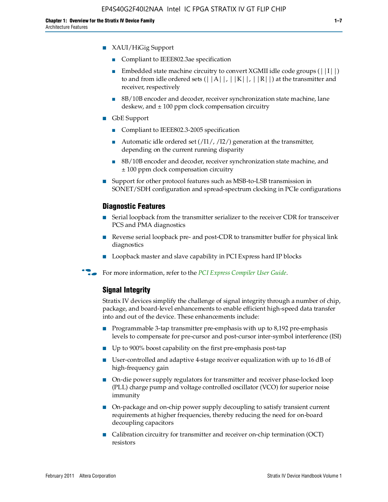- Compliant to IEEE802.3ae specification
- **■** Embedded state machine circuitry to convert XGMII idle code groups  $(|1| \cdot |)$ to and from idle ordered sets  $(||A||, |K||, |R||)$  at the transmitter and receiver, respectively
- 8B/10B encoder and decoder, receiver synchronization state machine, lane deskew, and  $\pm 100$  ppm clock compensation circuitry
- GbE Support
	- Compliant to IEEE802.3-2005 specification
	- Automatic idle ordered set  $(11/7/12/7)$  generation at the transmitter, depending on the current running disparity
	- 8B/10B encoder and decoder, receiver synchronization state machine, and ± 100 ppm clock compensation circuitry
- Support for other protocol features such as MSB-to-LSB transmission in SONET/SDH configuration and spread-spectrum clocking in PCIe configurations

#### **Diagnostic Features**

- Serial loopback from the transmitter serializer to the receiver CDR for transceiver PCS and PMA diagnostics
- Reverse serial loopback pre- and post-CDR to transmitter buffer for physical link diagnostics
- Loopback master and slave capability in PCI Express hard IP blocks
- **For more information, refer to the** *[PCI Express Compiler User Guide](http://www.altera.com/literature/ug/ug_pci_express.pdf)***.**

#### **Signal Integrity**

Stratix IV devices simplify the challenge of signal integrity through a number of chip, package, and board-level enhancements to enable efficient high-speed data transfer into and out of the device. These enhancements include:

- Programmable 3-tap transmitter pre-emphasis with up to 8,192 pre-emphasis levels to compensate for pre-cursor and post-cursor inter-symbol interference (ISI)
- Up to 900% boost capability on the first pre-emphasis post-tap
- User-controlled and adaptive 4-stage receiver equalization with up to 16 dB of high-frequency gain
- On-die power supply regulators for transmitter and receiver phase-locked loop (PLL) charge pump and voltage controlled oscillator (VCO) for superior noise immunity
- On-package and on-chip power supply decoupling to satisfy transient current requirements at higher frequencies, thereby reducing the need for on-board decoupling capacitors
- Calibration circuitry for transmitter and receiver on-chip termination (OCT) resistors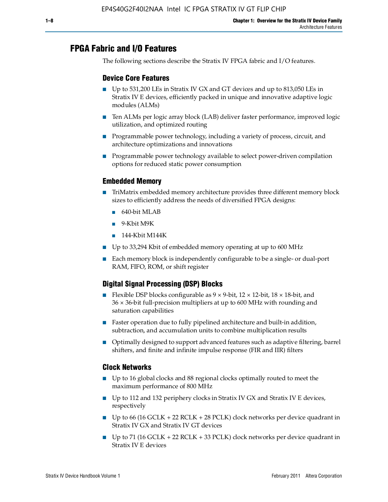### **FPGA Fabric and I/O Features**

The following sections describe the Stratix IV FPGA fabric and I/O features.

#### **Device Core Features**

- Up to 531,200 LEs in Stratix IV GX and GT devices and up to 813,050 LEs in Stratix IV E devices, efficiently packed in unique and innovative adaptive logic modules (ALMs)
- Ten ALMs per logic array block (LAB) deliver faster performance, improved logic utilization, and optimized routing
- Programmable power technology, including a variety of process, circuit, and architecture optimizations and innovations
- Programmable power technology available to select power-driven compilation options for reduced static power consumption

#### **Embedded Memory**

- TriMatrix embedded memory architecture provides three different memory block sizes to efficiently address the needs of diversified FPGA designs:
	- 640-bit MLAB
	- 9-Kbit M9K
	- 144-Kbit M144K
- Up to 33,294 Kbit of embedded memory operating at up to 600 MHz
- Each memory block is independently configurable to be a single- or dual-port RAM, FIFO, ROM, or shift register

### **Digital Signal Processing (DSP) Blocks**

- Flexible DSP blocks configurable as  $9 \times 9$ -bit,  $12 \times 12$ -bit,  $18 \times 18$ -bit, and 36 × 36-bit full-precision multipliers at up to 600 MHz with rounding and saturation capabilities
- Faster operation due to fully pipelined architecture and built-in addition, subtraction, and accumulation units to combine multiplication results
- Optimally designed to support advanced features such as adaptive filtering, barrel shifters, and finite and infinite impulse response (FIR and IIR) filters

#### **Clock Networks**

- Up to 16 global clocks and 88 regional clocks optimally routed to meet the maximum performance of 800 MHz
- Up to 112 and 132 periphery clocks in Stratix IV GX and Stratix IV E devices, respectively
- Up to 66 (16 GCLK + 22 RCLK + 28 PCLK) clock networks per device quadrant in Stratix IV GX and Stratix IV GT devices
- **•** Up to 71 (16 GCLK + 22 RCLK + 33 PCLK) clock networks per device quadrant in Stratix IV E devices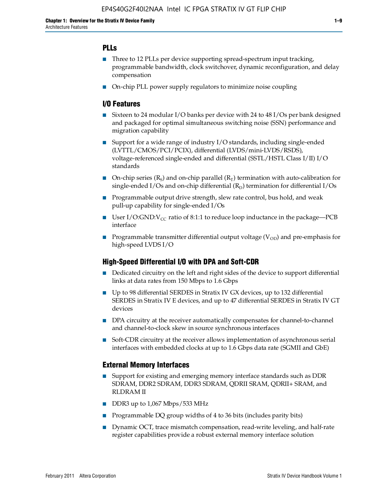#### **PLLs**

- Three to 12 PLLs per device supporting spread-spectrum input tracking, programmable bandwidth, clock switchover, dynamic reconfiguration, and delay compensation
- On-chip PLL power supply regulators to minimize noise coupling

#### **I/O Features**

- Sixteen to 24 modular I/O banks per device with 24 to 48 I/Os per bank designed and packaged for optimal simultaneous switching noise (SSN) performance and migration capability
- Support for a wide range of industry I/O standards, including single-ended (LVTTL/CMOS/PCI/PCIX), differential (LVDS/mini-LVDS/RSDS), voltage-referenced single-ended and differential (SSTL/HSTL Class I/II) I/O standards
- **O**n-chip series  $(R_S)$  and on-chip parallel  $(R_T)$  termination with auto-calibration for single-ended I/Os and on-chip differential  $(R_D)$  termination for differential I/Os
- Programmable output drive strength, slew rate control, bus hold, and weak pull-up capability for single-ended I/Os
- User I/O:GND:V<sub>CC</sub> ratio of 8:1:1 to reduce loop inductance in the package—PCB interface
- **•** Programmable transmitter differential output voltage ( $V_{OD}$ ) and pre-emphasis for high-speed LVDS I/O

#### **High-Speed Differential I/O with DPA and Soft-CDR**

- Dedicated circuitry on the left and right sides of the device to support differential links at data rates from 150 Mbps to 1.6 Gbps
- Up to 98 differential SERDES in Stratix IV GX devices, up to 132 differential SERDES in Stratix IV E devices, and up to 47 differential SERDES in Stratix IV GT devices
- DPA circuitry at the receiver automatically compensates for channel-to-channel and channel-to-clock skew in source synchronous interfaces
- Soft-CDR circuitry at the receiver allows implementation of asynchronous serial interfaces with embedded clocks at up to 1.6 Gbps data rate (SGMII and GbE)

#### **External Memory Interfaces**

- Support for existing and emerging memory interface standards such as DDR SDRAM, DDR2 SDRAM, DDR3 SDRAM, QDRII SRAM, QDRII+ SRAM, and RLDRAM II
- DDR3 up to 1,067 Mbps/533 MHz
- Programmable DQ group widths of 4 to 36 bits (includes parity bits)
- Dynamic OCT, trace mismatch compensation, read-write leveling, and half-rate register capabilities provide a robust external memory interface solution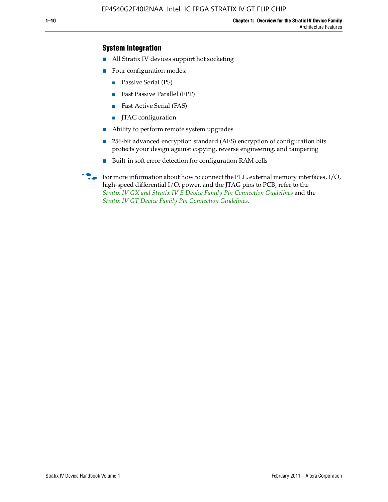### **System Integration**

- All Stratix IV devices support hot socketing
- Four configuration modes:
	- Passive Serial (PS)
	- Fast Passive Parallel (FPP)
	- Fast Active Serial (FAS)
	- JTAG configuration
- Ability to perform remote system upgrades
- 256-bit advanced encryption standard (AES) encryption of configuration bits protects your design against copying, reverse engineering, and tampering
- Built-in soft error detection for configuration RAM cells
- For more information about how to connect the PLL, external memory interfaces,  $I/O$ , high-speed differential I/O, power, and the JTAG pins to PCB, refer to the *[Stratix IV GX and Stratix IV E Device Family Pin Connection Guidelines](http://www.altera.com/literature/dp/stratix4/PCG-01005.pdf)* and the *[Stratix IV GT Device Family Pin Connection Guidelines](http://www.altera.com/literature/dp/stratix4/PCG-01006.pdf)*.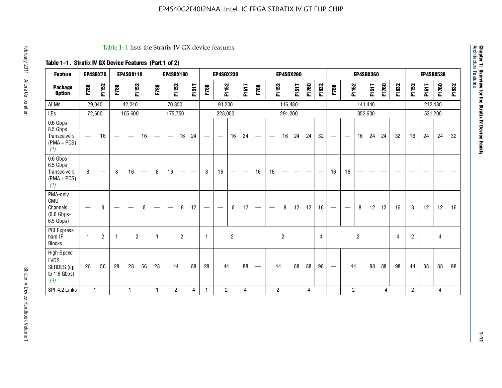| <b>Feature</b>                                                       |                          | EP4SGX70       |                                 | <b>EP4SGX110</b>                |    |                 | <b>EP4SGX180</b>  |                          |       |              | <b>EP4SGX230</b>                |                          |       |                   |                                  | <b>EP4SGX290</b> |       |       |       |                                |                   |                | <b>EP4SGX360</b> |       |       |                |       | EP4SGX530 |         |
|----------------------------------------------------------------------|--------------------------|----------------|---------------------------------|---------------------------------|----|-----------------|-------------------|--------------------------|-------|--------------|---------------------------------|--------------------------|-------|-------------------|----------------------------------|------------------|-------|-------|-------|--------------------------------|-------------------|----------------|------------------|-------|-------|----------------|-------|-----------|---------|
| <b>Package</b><br><b>Option</b>                                      | F780                     | F1152          | F780                            | F1152                           |    | F780            | F1152             |                          | F1517 | F780         | F1152                           |                          | F1517 | F780              | F1152                            |                  | F1517 | F1760 | F1932 | F780                           | F1152             |                | F1517            | F1760 | F1932 | F1152          | F1517 | F1760     | 93<br>됴 |
| <b>ALMs</b>                                                          | 29,040                   |                |                                 | 42,240                          |    |                 | 70,300            |                          |       |              | 91,200                          |                          |       |                   |                                  | 116,480          |       |       |       |                                |                   | 141,440        |                  |       |       |                |       | 212,480   |         |
| LEs                                                                  | 72,600                   |                |                                 | 105,600                         |    |                 | 175,750           |                          |       |              | 228,000                         |                          |       |                   |                                  | 291,200          |       |       |       |                                |                   |                | 353,600          |       |       |                |       | 531,200   |         |
| 0.6 Gbps-<br>8.5 Gbps<br><b>Transceivers</b><br>$(PMA + PCS)$<br>(1) |                          | 16             | $\hspace{0.1mm}-\hspace{0.1mm}$ | $\hspace{0.1mm}-\hspace{0.1mm}$ | 16 |                 | $\hspace{0.05cm}$ | 16                       | 24    |              | $\hspace{0.1mm}-\hspace{0.1mm}$ | 16                       | 24    |                   | $\overbrace{\phantom{12322111}}$ | 16               | 24    | 24    | 32    | $\qquad \qquad \longleftarrow$ | $\hspace{0.05cm}$ | 16             | 24               | 24    | 32    | 16             | 24    | 24        | 32      |
| 0.6 Gbps-<br>6.5 Gbps<br><b>Transceivers</b><br>$(PMA + PCS)$<br>(1) | 8                        |                | 8                               | 16                              |    | 8               | 16                | $\overline{\phantom{0}}$ | —     | 8            | 16                              | $\overline{\phantom{0}}$ |       | 16                | 16                               |                  | –     | –     | -     | 16                             | 16                |                | -                |       |       |                |       |           |         |
| PMA-only<br><b>CMU</b><br>Channels<br>$(0.6$ Gbps-<br>6.5 Gbps)      | $\overline{\phantom{m}}$ | 8              | –                               | $\overline{\phantom{a}}$        | 8  | $\qquad \qquad$ | –                 | 8                        | 12    |              | $\overbrace{\qquad \qquad }^{}$ | 8                        | 12    | $\hspace{0.05cm}$ | $\overline{\phantom{0}}$         | 8                | 12    | 12    | 16    | $\hspace{0.05cm}$              | $\hspace{0.05cm}$ | 8              | 12               | 12    | 16    | 8              | 12    | 12        | 16      |
| PCI Express<br>hard IP<br><b>Blocks</b>                              | 1                        | $\overline{2}$ | 1                               | $\overline{2}$                  |    |                 |                   | $\overline{2}$           |       | $\mathbf{1}$ |                                 | $\overline{c}$           |       |                   |                                  | $\overline{c}$   |       |       | 4     |                                |                   | $\overline{c}$ |                  |       | 4     | $\overline{2}$ |       | 4         |         |
| High-Speed<br><b>LVDS</b><br>SERDES (up<br>to $1.6$ Gbps)<br>(4)     | 28                       | 56             | 28                              | 28                              | 56 | 28              | 44                |                          | 88    | 28           | 44                              |                          | 88    | $\hspace{0.05cm}$ | 44                               |                  | 88    | 88    | 98    |                                | 44                |                | 88               | 88    | 98    | 44             | 88    | 88        | 98      |
| SPI-4.2 Links                                                        | 1                        |                |                                 | 1                               |    | $\overline{1}$  | $\overline{2}$    |                          | 4     | $\mathbf{1}$ | $\overline{2}$                  |                          | 4     |                   | $\overline{2}$                   |                  |       | 4     |       | —                              | $\overline{2}$    |                |                  | 4     |       | $\overline{2}$ |       | 4         |         |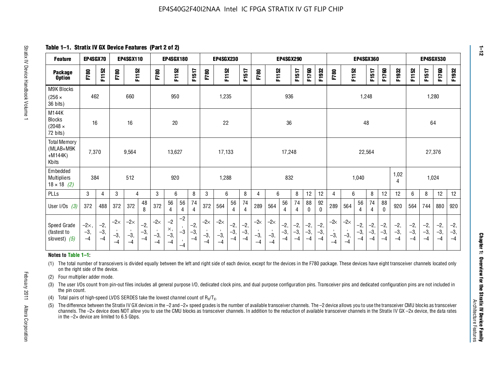**Table 1–1. Stratix IV GX Device Features (Part 2 of 2)**

| <b>Feature</b>                                                                                                                                                                                                                                                                                                                                                                                                                                                                      | EP4SGX70                    |                        |                             | EP4SGX110                   |                        |                             | EP4SGX180                           |                      |                        |                             | <b>EP4SGX230</b>            |                        |                        |                    |                             | <b>EP4SGX290</b>       |                        |                        |                        |                       |                             | <b>EP4SGX360</b>       |                        |                        |                        |                        | <b>EP4SGX530</b>       |                        |                        |
|-------------------------------------------------------------------------------------------------------------------------------------------------------------------------------------------------------------------------------------------------------------------------------------------------------------------------------------------------------------------------------------------------------------------------------------------------------------------------------------|-----------------------------|------------------------|-----------------------------|-----------------------------|------------------------|-----------------------------|-------------------------------------|----------------------|------------------------|-----------------------------|-----------------------------|------------------------|------------------------|--------------------|-----------------------------|------------------------|------------------------|------------------------|------------------------|-----------------------|-----------------------------|------------------------|------------------------|------------------------|------------------------|------------------------|------------------------|------------------------|------------------------|
| <b>Package</b><br><b>Option</b>                                                                                                                                                                                                                                                                                                                                                                                                                                                     | F780                        | F1152                  | F780                        | F1152                       |                        | F780                        | F1152                               |                      | F1517                  | F780                        | F1152                       |                        | F1517                  | F780               | F1152                       |                        | F1517                  | F1760                  | F1932                  | F780                  | F1152                       |                        | F1517                  | F1760                  | F1932                  | F1152                  | F1517                  | F1760                  | F1932                  |
| M9K Blocks<br>$(256 \times$<br>36 bits)                                                                                                                                                                                                                                                                                                                                                                                                                                             | 462                         |                        |                             | 660                         |                        |                             | 950                                 |                      |                        |                             | 1,235                       |                        |                        |                    |                             | 936                    |                        |                        |                        |                       |                             | 1,248                  |                        |                        |                        |                        |                        | 1,280                  |                        |
| M144K<br><b>Blocks</b><br>$(2048 \times$<br>72 bits)                                                                                                                                                                                                                                                                                                                                                                                                                                | 16                          |                        |                             | 16                          |                        |                             | 20                                  |                      |                        |                             | 22                          |                        |                        |                    |                             | 36                     |                        |                        |                        |                       |                             | 48                     |                        |                        |                        |                        | 64                     |                        |                        |
| <b>Total Memory</b><br>(MLAB+M9K<br>$+M144K)$<br>Kbits                                                                                                                                                                                                                                                                                                                                                                                                                              | 7,370                       |                        |                             | 9,564                       |                        |                             | 13.627                              |                      |                        |                             | 17,133                      |                        |                        |                    |                             | 17,248                 |                        |                        |                        |                       |                             | 22,564                 |                        |                        |                        |                        |                        | 27,376                 |                        |
| Embedded<br><b>Multipliers</b><br>$18 \times 18$ (2)                                                                                                                                                                                                                                                                                                                                                                                                                                | 384                         |                        |                             | 512                         |                        |                             | 920                                 |                      |                        |                             | 1,288                       |                        |                        |                    |                             | 832                    |                        |                        |                        |                       |                             | 1,040                  |                        |                        | 1,02<br>4              |                        |                        | 1,024                  |                        |
| PLLs                                                                                                                                                                                                                                                                                                                                                                                                                                                                                | 3                           | $\overline{4}$         | 3                           | $\overline{4}$              |                        | 3                           | 6                                   |                      | 8                      | 3                           | 6                           |                        | 8                      | 4                  | 6                           |                        | 8                      | 12                     | 12                     | 4                     | 6                           |                        | 8                      | 12                     | 12                     | 6                      | 8                      | 12                     | 12                     |
| User I/Os $(3)$                                                                                                                                                                                                                                                                                                                                                                                                                                                                     | 372                         | 488                    | 372                         | 372                         | 48<br>8                | 372                         | 56<br>$\overline{4}$                | 56<br>4              | 74<br>$\overline{4}$   | 372                         | 564                         | 56<br>4                | 74<br>4                | 289                | 564                         | 56<br>$\overline{4}$   | 74<br>$\overline{4}$   | 88<br>$\mathbf{0}$     | 92<br>$\mathbf{0}$     | 289                   | 564                         | 56<br>4                | 74<br>$\overline{4}$   | 88<br>$\Omega$         | 920                    | 564                    | 744                    | 880                    | 920                    |
| Speed Grade<br>(fastest to<br>slowest) $(5)$                                                                                                                                                                                                                                                                                                                                                                                                                                        | $-2\times$<br>$-3,$<br>$-4$ | $-2,$<br>$-3,$<br>$-4$ | $-2\times$<br>$-3,$<br>$-4$ | $-2\times$<br>$-3,$<br>$-4$ | $-2,$<br>$-3,$<br>$-4$ | $-2\times$<br>$-3,$<br>$-4$ | $-2$<br>$\times$ ,<br>$-3,$<br>$-4$ | $-2$<br>$-3$<br>$-4$ | $-2,$<br>$-3,$<br>$-4$ | $-2\times$<br>$-3,$<br>$-4$ | $-2\times$<br>$-3,$<br>$-4$ | $-2,$<br>$-3,$<br>$-4$ | $-2,$<br>$-3,$<br>$-4$ | -2∝<br>$-3,$<br>-4 | $-2\times$<br>$-3,$<br>$-4$ | $-2,$<br>$-3,$<br>$-4$ | $-2,$<br>$-3,$<br>$-4$ | $-2,$<br>$-3,$<br>$-4$ | $-2,$<br>$-3,$<br>$-4$ | $-2$<br>$-3,$<br>$-4$ | $-2\times$<br>$-3,$<br>$-4$ | $-2,$<br>$-3,$<br>$-4$ | $-2,$<br>$-3,$<br>$-4$ | $-2,$<br>$-3,$<br>$-4$ | $-2,$<br>$-3,$<br>$-4$ | $-2,$<br>$-3,$<br>$-4$ | $-2,$<br>$-3,$<br>$-4$ | $-2,$<br>$-3,$<br>$-4$ | $-2,$<br>$-3,$<br>$-4$ |
| Notes to Table 1-1:                                                                                                                                                                                                                                                                                                                                                                                                                                                                 |                             |                        |                             |                             |                        |                             |                                     |                      |                        |                             |                             |                        |                        |                    |                             |                        |                        |                        |                        |                       |                             |                        |                        |                        |                        |                        |                        |                        |                        |
| (1) The total number of transceivers is divided equally between the left and right side of each device, except for the devices in the F780 package. These devices have eight transceiver channels located only<br>on the right side of the device.<br>Four multiplier adder mode.<br>(2)                                                                                                                                                                                            |                             |                        |                             |                             |                        |                             |                                     |                      |                        |                             |                             |                        |                        |                    |                             |                        |                        |                        |                        |                       |                             |                        |                        |                        |                        |                        |                        |                        |                        |
| The user I/Os count from pin-out files includes all general purpose I/O, dedicated clock pins, and dual purpose configuration pins. Transceiver pins and dedicated configuration pins are not included in<br>(3)<br>the pin count.                                                                                                                                                                                                                                                  |                             |                        |                             |                             |                        |                             |                                     |                      |                        |                             |                             |                        |                        |                    |                             |                        |                        |                        |                        |                       |                             |                        |                        |                        |                        |                        |                        |                        |                        |
| Total pairs of high-speed LVDS SERDES take the lowest channel count of $R_x/T_x$ .<br>(4)                                                                                                                                                                                                                                                                                                                                                                                           |                             |                        |                             |                             |                        |                             |                                     |                      |                        |                             |                             |                        |                        |                    |                             |                        |                        |                        |                        |                       |                             |                        |                        |                        |                        |                        |                        |                        |                        |
| The difference between the Stratix IV GX devices in the -2 and -2x speed grades is the number of available transceiver channels. The -2 device allows you to use the transceiver CMU blocks as transceiver<br>(5)<br>channels. The -2x device does NOT allow you to use the CMU blocks as transceiver channels. In addition to the reduction of available transceiver channels in the Stratix IV GX -2x device, the data rates<br>in the $-2\times$ device are limited to 6.5 Gbps. |                             |                        |                             |                             |                        |                             |                                     |                      |                        |                             |                             |                        |                        |                    |                             |                        |                        |                        |                        |                       |                             |                        |                        |                        |                        |                        |                        |                        |                        |

#### **Notes to Table 1–1:**

- (4) Total pairs of high-speed LVDS SERDES take the lowest channel count of  $R_X/T_X$ .
- (5) The difference between the Stratix IV GX devices in the –2 and –2× speed grades is the number of available transceiver channels. The –2 device allows you to use the transceiver CMU blocks as transceiver channels. The –2× device does NOT allow you to use the CMU blocks as transceiver channels. In addition to the reduction of available transceiver channels in the Stratix IV GX –2x device, the data rates in the  $-2\times$  device are limited to 6.5 Gbps.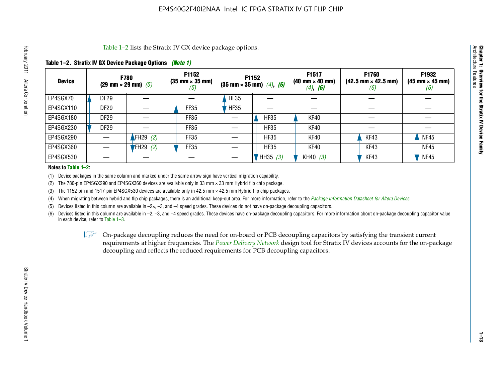#### **Table 1–2. Stratix IV GX Device Package Options** *(Note 1)*

| Table 1–2 lists the Stratix IV GX device package options.<br>Architecture |                                                                 |             |                                           |                                                               |             |                                                      |                                                                       |                                                            |                                                        |  |  |
|---------------------------------------------------------------------------|-----------------------------------------------------------------|-------------|-------------------------------------------|---------------------------------------------------------------|-------------|------------------------------------------------------|-----------------------------------------------------------------------|------------------------------------------------------------|--------------------------------------------------------|--|--|
|                                                                           | Table 1–2. Stratix IV GX Device Package Options <i>(Note 1)</i> |             |                                           |                                                               |             |                                                      |                                                                       |                                                            |                                                        |  |  |
| <b>Device</b>                                                             |                                                                 |             | <b>F780</b><br>(29 mm $\times$ 29 mm) (5) | <b>F1152</b><br>$(35 \text{ mm} \times 35 \text{ mm})$<br>(5) | F1152       | $(35 \text{ mm} \times 35 \text{ mm})$ $(4)$ , $(6)$ | F1517<br>$(40 \text{ mm} \times 40 \text{ mm})$<br>$(4)$ , <b>(6)</b> | F1760<br>$(42.5 \text{ mm} \times 42.5 \text{ mm})$<br>(6) | F1932<br>$(45 \text{ mm} \times 45 \text{ mm})$<br>(6) |  |  |
| EP4SGX70                                                                  |                                                                 | DF29        |                                           |                                                               | <b>HF35</b> |                                                      |                                                                       |                                                            |                                                        |  |  |
| EP4SGX110                                                                 |                                                                 | DF29        |                                           | FF35                                                          | HFS5        |                                                      |                                                                       |                                                            |                                                        |  |  |
| EP4SGX180                                                                 |                                                                 | DF29        |                                           | FF35                                                          |             | <b>HF35</b>                                          | KF40                                                                  |                                                            |                                                        |  |  |
| EP4SGX230                                                                 |                                                                 | <b>DF29</b> |                                           | FF35                                                          |             | <b>HF35</b>                                          | KF40                                                                  |                                                            |                                                        |  |  |
| EP4SGX290                                                                 |                                                                 |             | FH29 $(2)$                                | FF35                                                          |             | HF35                                                 | KF40                                                                  | KF43                                                       | <b>NF45</b>                                            |  |  |
| EP4SGX360                                                                 |                                                                 |             | $FH29$ (2)                                | FF35                                                          |             | <b>HF35</b>                                          | KF40                                                                  | KF43                                                       | <b>NF45</b>                                            |  |  |
| EP4SGX530                                                                 |                                                                 |             |                                           |                                                               |             | HH35 (3)                                             | KH40 $(3)$                                                            | KF43                                                       | <b>NF45</b>                                            |  |  |

#### **Notes to Table 1–2:**

(1) Device packages in the same column and marked under the same arrow sign have vertical migration capability.

(2) The 780-pin EP4SGX290 and EP4SGX360 devices are available only in 33 mm × 33 mm Hybrid flip chip package.

(3) The 1152-pin and 1517-pin EP4SGX530 devices are available only in 42.5 mm  $\times$  42.5 mm Hybrid flip chip packages.

(4) When migrating between hybrid and flip chip packages, there is an additional keep-out area. For more information, refer to the *[Package Information Datasheet for Altera Devices](http://www.altera.com/literature/ds/dspkg.pdf)*.

(5) Devices listed in this column are available in  $-2\times$ ,  $-3$ , and  $-4$  speed grades. These devices do not have on-package decoupling capacitors.

(6) Devices listed in this column are available in –2, –3, and –4 speed grades. These devices have on-package decoupling capacitors. For more information about on-package decoupling capacitor value in each device, refer to Table 1–3.

 $I \otimes$  On-package decoupling reduces the need for on-board or PCB decoupling capacitors by satisfying the transient current requirements at higher frequencies. The *[Power Delivery Network](http://www.altera.com/literature/ug/pdn_tool_stxiv.zip)* design tool for Stratix IV devices accounts for the on-package decoupling and reflects the reduced requirements for PCB decoupling capacitors.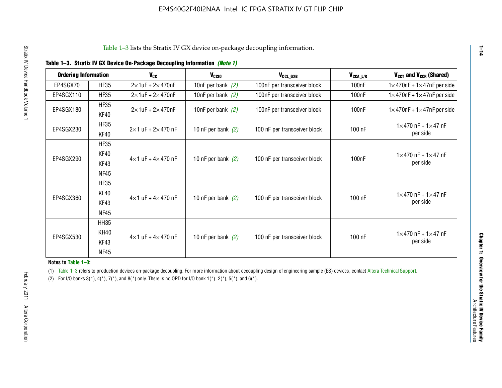| <b>Ordering Information</b> |                     | <b>V<sub>cc</sub></b>             | $V_{CGI0}$           | V <sub>CCL GXB</sub>         | $V_{\texttt{CCA}\_\textsf{L/R}}$ | $V_{CCT}$ and $V_{CCR}$ (Shared)                 |
|-----------------------------|---------------------|-----------------------------------|----------------------|------------------------------|----------------------------------|--------------------------------------------------|
| EP4SGX70                    | <b>HF35</b>         | $2\times 1$ uF + $2\times 470$ nF | 10nF per bank $(2)$  | 100nF per transceiver block  | 100 <sub>n</sub> F               | $1 \times 470$ nF + $1 \times 47$ nF per side    |
| EP4SGX110                   | <b>HF35</b>         | $2\times 1$ uF + $2\times 470$ nF | 10nF per bank $(2)$  | 100nF per transceiver block  | 100 <sub>n</sub> F               | $1 \times 470$ nF + $1 \times 47$ nF per side    |
| EP4SGX180                   | <b>HF35</b>         | $2\times 1$ uF + $2\times 470$ nF | 10nF per bank $(2)$  | 100nF per transceiver block  | 100nF                            | $1 \times 470$ nF + $1 \times 47$ nF per side    |
|                             | KF40                |                                   |                      |                              |                                  |                                                  |
| EP4SGX230                   | <b>HF35</b><br>KF40 | $2\times1$ uF + $2\times470$ nF   | 10 nF per bank $(2)$ | 100 nF per transceiver block | 100 nF                           | $1 \times 470$ nF + $1 \times 47$ nF<br>per side |
|                             | <b>HF35</b>         |                                   |                      |                              |                                  |                                                  |
|                             | KF40                |                                   |                      |                              |                                  | $1 \times 470$ nF + $1 \times 47$ nF             |
| EP4SGX290                   | KF43                | $4\times1$ uF + $4\times470$ nF   | 10 nF per bank $(2)$ | 100 nF per transceiver block | 100nF                            | per side                                         |
|                             | NF45                |                                   |                      |                              |                                  |                                                  |
|                             | <b>HF35</b>         |                                   |                      |                              |                                  |                                                  |
| EP4SGX360                   | KF40                | $4\times1$ uF + $4\times470$ nF   | 10 nF per bank $(2)$ | 100 nF per transceiver block | 100 nF                           | $1 \times 470$ nF + $1 \times 47$ nF             |
|                             | KF43                |                                   |                      |                              |                                  | per side                                         |
|                             | <b>NF45</b>         |                                   |                      |                              |                                  |                                                  |
|                             | <b>HH35</b>         |                                   |                      |                              |                                  |                                                  |
| EP4SGX530                   | <b>KH40</b>         | $4\times1$ uF + $4\times470$ nF   | 10 nF per bank $(2)$ | 100 nF per transceiver block | 100 nF                           | $1 \times 470$ nF + $1 \times 47$ nF             |
|                             | KF43                |                                   |                      |                              |                                  | per side                                         |
|                             | <b>NF45</b>         |                                   |                      |                              |                                  |                                                  |

#### **Notes to Table 1–3:**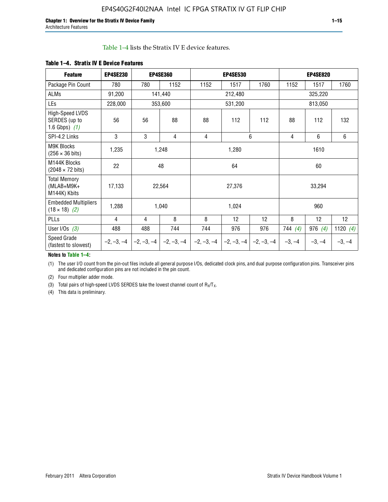| Table 1–4 lists the Stratix IV E device features. |
|---------------------------------------------------|
|---------------------------------------------------|

| <b>Feature</b>                                      | <b>EP4SE230</b> |              | <b>EP4SE360</b> | <b>EP4SE530</b> |              |              |           | <b>EP4SE820</b> |                 |
|-----------------------------------------------------|-----------------|--------------|-----------------|-----------------|--------------|--------------|-----------|-----------------|-----------------|
| Package Pin Count                                   | 780             | 780          | 1152            | 1152            | 1517         | 1760         | 1152      | 1517            | 1760            |
| ALMs                                                | 91,200          |              | 141,440         |                 | 212,480      |              |           | 325,220         |                 |
| LEs                                                 | 228,000         |              | 353,600         |                 | 531,200      |              |           | 813,050         |                 |
| High-Speed LVDS<br>SERDES (up to<br>1.6 Gbps) $(1)$ | 56              | 56           | 88              | 88              | 112          | 112          | 88        | 112             | 132             |
| SPI-4.2 Links                                       | 3               | 3            | 4               | 4               |              | 6            | 4         | 6               | 6               |
| <b>M9K Blocks</b><br>$(256 \times 36 \text{ bits})$ | 1,235           |              | 1,248           |                 | 1,280        |              |           | 1610            |                 |
| M144K Blocks<br>$(2048 \times 72 \text{ bits})$     | 22              |              | 48              |                 | 64           |              |           | 60              |                 |
| <b>Total Memory</b><br>$(MLAB+M9K+$<br>M144K) Kbits | 17,133          |              | 22,564          |                 | 27,376       |              |           | 33,294          |                 |
| <b>Embedded Multipliers</b><br>$(18 \times 18)$ (2) | 1,288<br>1,040  |              |                 |                 | 1,024        |              |           | 960             |                 |
| PLLs                                                | 8<br>4<br>4     |              |                 | 8               | 12           | 12           | 8         | 12              | 12 <sup>°</sup> |
| User I/Os $(3)$                                     | 488             | 488          | 744             | 744             | 976          | 976          | 744 $(4)$ | 976 $(4)$       | 1120 $(4)$      |
| Speed Grade<br>$-2, -3, -4$<br>(fastest to slowest) |                 | $-2, -3, -4$ | $-2, -3, -4$    | $-2, -3, -4$    | $-2, -3, -4$ | $-2, -3, -4$ | $-3, -4$  | $-3, -4$        | $-3, -4$        |

#### **Table 1–4. Stratix IV E Device Features**

#### **Notes to Table 1–4:**

(1) The user I/O count from the pin-out files include all general purpose I/Os, dedicated clock pins, and dual purpose configuration pins. Transceiver pins and dedicated configuration pins are not included in the pin count.

(2) Four multiplier adder mode.

(3) Total pairs of high-speed LVDS SERDES take the lowest channel count of  $R_X/T_X$ .

(4) This data is preliminary.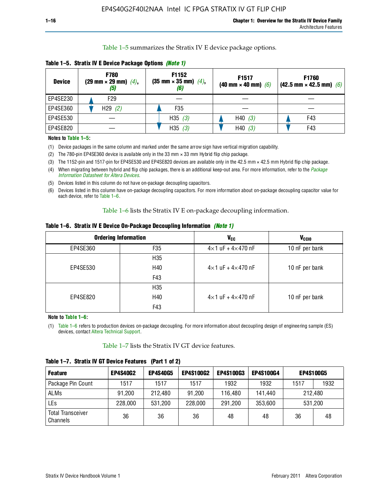Table 1–5 summarizes the Stratix IV E device package options.

| <b>Device</b> | <b>F780</b><br>$(29 \text{ mm} \times 29 \text{ mm})$ $(4)$ ,<br>(5) | F1152<br>$(35 \text{ mm} \times 35 \text{ mm})$ $(4)$ , | F <sub>1517</sub><br>(40 mm $\times$ 40 mm) (6) | F1760<br>$(42.5 \text{ mm} \times 42.5 \text{ mm})$ (6) |
|---------------|----------------------------------------------------------------------|---------------------------------------------------------|-------------------------------------------------|---------------------------------------------------------|
| EP4SE230      | F29                                                                  |                                                         |                                                 |                                                         |
| EP4SE360      | H29(2)                                                               | F35                                                     |                                                 |                                                         |
| EP4SE530      |                                                                      | H35 $(3)$                                               | H40(3)                                          | F43                                                     |
| EP4SE820      |                                                                      | H35 $(3)$                                               | H40(3)                                          | F43                                                     |

**Table 1–5. Stratix IV E Device Package Options** *(Note 1)*

#### **Notes to Table 1–5:**

- (1) Device packages in the same column and marked under the same arrow sign have vertical migration capability.
- (2) The 780-pin EP4SE360 device is available only in the 33 mm × 33 mm Hybrid flip chip package.
- (3) The 1152-pin and 1517-pin for EP4SE530 and EP4SE820 devices are available only in the 42.5 mm × 42.5 mm Hybrid flip chip package.
- (4) When migrating between hybrid and flip chip packages, there is an additional keep-out area. For more information, refer to the *[Package](http://www.altera.com/literature/ds/dspkg.pdf)  [Information Datasheet for Altera Devices](http://www.altera.com/literature/ds/dspkg.pdf)*.
- (5) Devices listed in this column do not have on-package decoupling capacitors.
- (6) Devices listed in this column have on-package decoupling capacitors. For more information about on-package decoupling capacitor value for each device, refer to Table 1–6.

Table 1–6 lists the Stratix IV E on-package decoupling information.

|  |  |  |  |  | Table 1–6. Stratix IV E Device On-Package Decoupling Information <i>(Note 1)</i> |  |  |
|--|--|--|--|--|----------------------------------------------------------------------------------|--|--|
|--|--|--|--|--|----------------------------------------------------------------------------------|--|--|

|          | <b>Ordering Information</b> | <b>V<sub>cc</sub></b>               | V <sub>CCIO</sub> |
|----------|-----------------------------|-------------------------------------|-------------------|
| EP4SE360 | F <sub>35</sub>             | $4\times$ 1 uF + $4\times$ 470 nF   | 10 nF per bank    |
|          | H <sub>35</sub>             |                                     |                   |
| EP4SE530 | H40                         | $4 \times 1$ uF + $4 \times 470$ nF | 10 nF per bank    |
|          | F43                         |                                     |                   |
|          | H35                         |                                     |                   |
| EP4SE820 | H40                         | $4 \times 1$ uF + $4 \times 470$ nF | 10 nF per bank    |
|          | F43                         |                                     |                   |

**Note to Table 1–6:**

(1) Table 1–6 refers to production devices on-package decoupling. For more information about decoupling design of engineering sample (ES) devices, contact [Altera Technical Support.](http://mysupport.altera.com/eservice/login.asp)

Table 1–7 lists the Stratix IV GT device features.

| <b>Feature</b>                       | <b>EP4S40G2</b> | <b>EP4S40G5</b> | <b>EP4S100G2</b> | <b>EP4S100G3</b> | <b>EP4S100G4</b> | <b>EP4S100G5</b> |         |
|--------------------------------------|-----------------|-----------------|------------------|------------------|------------------|------------------|---------|
| Package Pin Count                    | 1517            | 1517            | 1517             | 1932             | 1932             | 1517             | 1932    |
| <b>ALMs</b>                          | 91,200          | 212,480         | 91.200           | 116.480          | 141,440          | 212,480          |         |
| LEs                                  | 228,000         | 531,200         | 228,000          | 291,200          | 353,600          |                  | 531,200 |
| <b>Total Transceiver</b><br>Channels | 36              | 36              | 36               | 48               | 48               | 36               | 48      |

**Table 1–7. Stratix IV GT Device Features (Part 1 of 2)**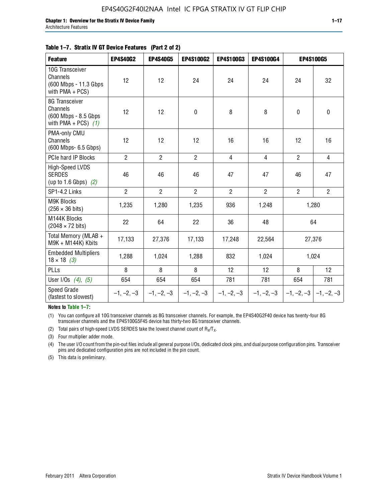| <b>Feature</b>                                                              | <b>EP4S40G2</b> | <b>EP4S40G5</b> | EP4S100G2      | <b>EP4S100G3</b> | EP4S100G4      |                | <b>EP4S100G5</b>          |
|-----------------------------------------------------------------------------|-----------------|-----------------|----------------|------------------|----------------|----------------|---------------------------|
| 10G Transceiver<br>Channels<br>(600 Mbps - 11.3 Gbps<br>with $PMA + PCS$ )  | 12              | 12              | 24             | 24               | 24             | 24             | 32                        |
| 8G Transceiver<br>Channels<br>(600 Mbps - 8.5 Gbps<br>with PMA + PCS) $(1)$ | 12              | 12              | 0              | 8                | 8              | 0              | 0                         |
| PMA-only CMU<br>Channels<br>(600 Mbps- 6.5 Gbps)                            | 12              | 12              | 12             | 16               | 16             | 12             | 16                        |
| PCIe hard IP Blocks                                                         | $\overline{2}$  | $\overline{2}$  | $\overline{2}$ | $\overline{4}$   | $\overline{4}$ | $\overline{2}$ | $\overline{4}$            |
| High-Speed LVDS<br><b>SERDES</b><br>(up to 1.6 Gbps) $(2)$                  | 46              | 46              | 46             | 47               | 47             | 46             | 47                        |
| SP1-4.2 Links                                                               | $\overline{2}$  | $\overline{2}$  | $\overline{2}$ | $\overline{2}$   | $\overline{2}$ | $\overline{2}$ | $2^{\circ}$               |
| <b>M9K Blocks</b><br>$(256 \times 36 \text{ bits})$                         | 1,235           | 1,280           | 1,235          | 936              | 1,248          |                | 1,280                     |
| M144K Blocks<br>$(2048 \times 72 \text{ bits})$                             | 22              | 64              | 22             | 36               | 48             |                | 64                        |
| Total Memory (MLAB +<br>M9K + M144K) Kbits                                  | 17,133          | 27,376          | 17,133         | 17,248           | 22,564         |                | 27,376                    |
| <b>Embedded Multipliers</b><br>$18 \times 18$ (3)                           | 1,288           | 1,024           | 1,288          | 832              | 1,024          |                | 1,024                     |
| PLLs                                                                        | 8               | 8               | 8              | 12               | 12             | 8              | 12                        |
| User I/Os $(4)$ , $(5)$                                                     | 654             | 654             | 654            | 781              | 781            | 654            | 781                       |
| Speed Grade<br>(fastest to slowest)                                         | $-1, -2, -3$    | $-1, -2, -3$    | $-1, -2, -3$   | $-1, -2, -3$     | $-1, -2, -3$   |                | $-1, -2, -3$ $-1, -2, -3$ |

**Notes to Table 1–7:**

(1) You can configure all 10G transceiver channels as 8G transceiver channels. For example, the EP4S40G2F40 device has twenty-four 8G transceiver channels and the EP4S100G5F45 device has thirty-two 8G transceiver channels.

(2) Total pairs of high-speed LVDS SERDES take the lowest channel count of  $R_X/T_X$ .

(3) Four multiplier adder mode.

(4) The user I/O count from the pin-out files include all general purpose I/Os, dedicated clock pins, and dual purpose configuration pins. Transceiver pins and dedicated configuration pins are not included in the pin count.

(5) This data is preliminary.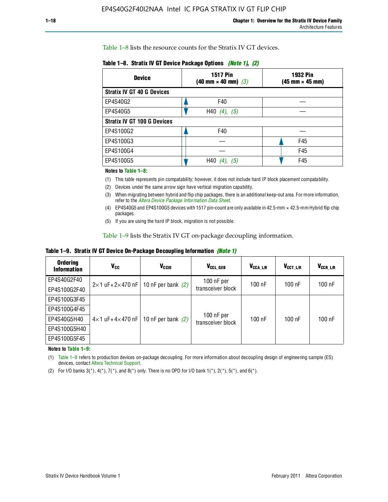Table 1–8 lists the resource counts for the Stratix IV GT devices.

| <b>Device</b>                      | <b>1517 Pin</b><br>$(40 \text{ mm} \times 40 \text{ mm})$ $(3)$ | 1932 Pin<br>(45 mm × 45 mm) |
|------------------------------------|-----------------------------------------------------------------|-----------------------------|
| <b>Stratix IV GT 40 G Devices</b>  |                                                                 |                             |
| EP4S40G2                           | F40                                                             |                             |
| EP4S40G5                           | H40 $(4)$ , $(5)$                                               |                             |
| <b>Stratix IV GT 100 G Devices</b> |                                                                 |                             |
| EP4S100G2                          | F40                                                             |                             |
| EP4S100G3                          |                                                                 | F45                         |
| EP4S100G4                          |                                                                 | F45                         |
| EP4S100G5                          | H40<br>(5)                                                      | F45                         |

**Table 1–8. Stratix IV GT Device Package Options** *(Note 1)***,** *(2)*

#### **Notes to Table 1–8:**

(1) This table represents pin compatability; however, it does not include hard IP block placement compatability.

- (2) Devices under the same arrow sign have vertical migration capability.
- (3) When migrating between hybrid and flip chip packages, there is an additional keep-out area. For more information, refer to the *[Altera Device Package Information Data Sheet](http://www.altera.com/literature/ds/dspkg.pdf)*.
- (4) EP4S40G5 and EP4S100G5 devices with 1517 pin-count are only available in 42.5-mm × 42.5-mm Hybrid flip chip packages.
- (5) If you are using the hard IP block, migration is not possible.

Table 1–9 lists the Stratix IV GT on-package decoupling information.

**Table 1–9. Stratix IV GT Device On-Package Decoupling Information** *(Note 1)*

| <b>Ordering</b><br><b>Information</b> | V <sub>cc</sub>                 | V <sub>CCIO</sub>                             | V <sub>CCL GXB</sub>              | V <sub>CCA_L/R</sub> | V <sub>CCT L/R</sub> | V <sub>CCR_L/R</sub> |
|---------------------------------------|---------------------------------|-----------------------------------------------|-----------------------------------|----------------------|----------------------|----------------------|
| EP4S40G2F40                           |                                 | $2 \times 1$ uF+2×470 nF   10 nF per bank (2) | $100$ nF per<br>transceiver block | 100 nF               | $100$ nF             | $100$ nF             |
| EP4S100G2F40                          |                                 |                                               |                                   |                      |                      |                      |
| EP4S100G3F45                          |                                 | 10 nF per bank $(2)$                          | 100 nF per<br>transceiver block   | 100 nF               | $100$ nF             | $100$ nF             |
| EP4S100G4F45                          |                                 |                                               |                                   |                      |                      |                      |
| EP4S40G5H40                           | $4\times1$ uF+4 $\times$ 470 nF |                                               |                                   |                      |                      |                      |
| EP4S100G5H40                          |                                 |                                               |                                   |                      |                      |                      |
| EP4S100G5F45                          |                                 |                                               |                                   |                      |                      |                      |

**Notes to Table 1–9:**

(1) Table 1–9 refers to production devices on-package decoupling. For more information about decoupling design of engineering sample (ES) devices, contact [Altera Technical Support.](http://mysupport.altera.com/eservice/login.asp)

(2) For I/O banks  $3(*)$ ,  $4(*)$ ,  $7(*)$ , and  $8(*)$  only. There is no OPD for I/O bank  $1(*)$ ,  $2(*)$ ,  $5(*)$ , and  $6(*)$ .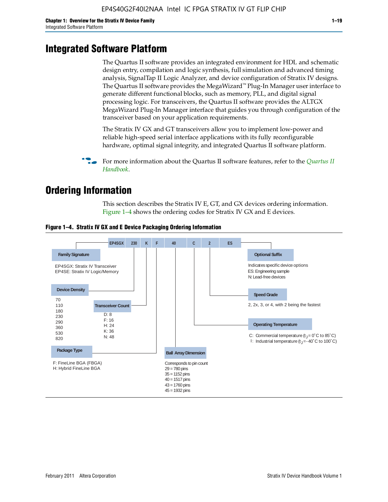### **Integrated Software Platform**

The Quartus II software provides an integrated environment for HDL and schematic design entry, compilation and logic synthesis, full simulation and advanced timing analysis, SignalTap II Logic Analyzer, and device configuration of Stratix IV designs. The Quartus II software provides the MegaWizard™ Plug-In Manager user interface to generate different functional blocks, such as memory, PLL, and digital signal processing logic. For transceivers, the Quartus II software provides the ALTGX MegaWizard Plug-In Manager interface that guides you through configuration of the transceiver based on your application requirements.

The Stratix IV GX and GT transceivers allow you to implement low-power and reliable high-speed serial interface applications with its fully reconfigurable hardware, optimal signal integrity, and integrated Quartus II software platform.

For more information about the [Quartus II](http://www.altera.com/literature/lit-qts.jsp) software features, refer to the *Quartus II [Handbook](http://www.altera.com/literature/lit-qts.jsp)*.

### **Ordering Information**

This section describes the Stratix IV E, GT, and GX devices ordering information. Figure 1–4 shows the ordering codes for Stratix IV GX and E devices.



#### **Figure 1–4. Stratix IV GX and E Device Packaging Ordering Information**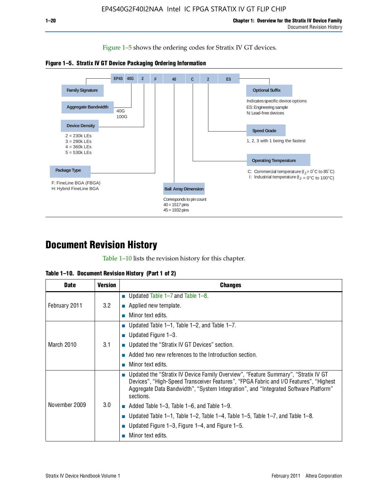Figure 1–5 shows the ordering codes for Stratix IV GT devices.





### **Document Revision History**

Table 1–10 lists the revision history for this chapter.

| <b>Date</b>   | <b>Version</b> | <b>Changes</b>                                                                                                                                                                                                                                                                  |
|---------------|----------------|---------------------------------------------------------------------------------------------------------------------------------------------------------------------------------------------------------------------------------------------------------------------------------|
| February 2011 | 3.2            | ■ Updated Table $1-7$ and Table $1-8$ .                                                                                                                                                                                                                                         |
|               |                | $\blacksquare$ Applied new template.                                                                                                                                                                                                                                            |
|               |                | Minor text edits.                                                                                                                                                                                                                                                               |
| March 2010    | 3.1            | ■ Updated Table 1–1, Table 1–2, and Table 1–7.                                                                                                                                                                                                                                  |
|               |                | ■ Updated Figure $1-3$ .                                                                                                                                                                                                                                                        |
|               |                | ■ Updated the "Stratix IV GT Devices" section.                                                                                                                                                                                                                                  |
|               |                | Added two new references to the Introduction section.                                                                                                                                                                                                                           |
|               |                | Minor text edits.                                                                                                                                                                                                                                                               |
| November 2009 | 3.0            | Updated the "Stratix IV Device Family Overview", "Feature Summary", "Stratix IV GT<br>Devices", "High-Speed Transceiver Features", "FPGA Fabric and I/O Features", "Highest<br>Aggregate Data Bandwidth", "System Integration", and "Integrated Software Platform"<br>sections. |
|               |                | $\blacksquare$ Added Table 1–3, Table 1–6, and Table 1–9.                                                                                                                                                                                                                       |
|               |                | Updated Table 1–1, Table 1–2, Table 1–4, Table 1–5, Table 1–7, and Table 1–8.                                                                                                                                                                                                   |
|               |                | Updated Figure 1–3, Figure 1–4, and Figure 1–5.                                                                                                                                                                                                                                 |
|               |                | Minor text edits.                                                                                                                                                                                                                                                               |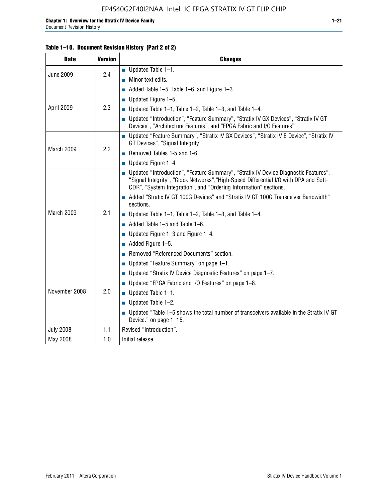| <b>Date</b>      | <b>Version</b> | <b>Changes</b>                                                                                                                                                                                                                                     |  |
|------------------|----------------|----------------------------------------------------------------------------------------------------------------------------------------------------------------------------------------------------------------------------------------------------|--|
| <b>June 2009</b> | 2.4            | $\blacksquare$ Updated Table 1-1.                                                                                                                                                                                                                  |  |
|                  |                | $\blacksquare$ Minor text edits.                                                                                                                                                                                                                   |  |
| April 2009       | 2.3            | Added Table 1-5, Table 1-6, and Figure 1-3.                                                                                                                                                                                                        |  |
|                  |                | $\blacksquare$ Updated Figure 1-5.                                                                                                                                                                                                                 |  |
|                  |                | ■ Updated Table 1–1, Table 1–2, Table 1–3, and Table 1–4.                                                                                                                                                                                          |  |
|                  |                | ■ Updated "Introduction", "Feature Summary", "Stratix IV GX Devices", "Stratix IV GT<br>Devices", "Architecture Features", and "FPGA Fabric and I/O Features"                                                                                      |  |
| March 2009       | 2.2            | ■ Updated "Feature Summary", "Stratix IV GX Devices", "Stratix IV E Device", "Stratix IV<br>GT Devices", "Signal Integrity"                                                                                                                        |  |
|                  |                | Removed Tables 1-5 and 1-6                                                                                                                                                                                                                         |  |
|                  |                | $\blacksquare$ Updated Figure 1-4                                                                                                                                                                                                                  |  |
| March 2009       | 2.1            | ■ Updated "Introduction", "Feature Summary", "Stratix IV Device Diagnostic Features",<br>"Signal Integrity", "Clock Networks", "High-Speed Differential I/O with DPA and Soft-<br>CDR", "System Integration", and "Ordering Information" sections. |  |
|                  |                | Added "Stratix IV GT 100G Devices" and "Stratix IV GT 100G Transceiver Bandwidth"<br>sections.                                                                                                                                                     |  |
|                  |                | ■ Updated Table 1–1, Table 1–2, Table 1–3, and Table 1–4.                                                                                                                                                                                          |  |
|                  |                | $\blacksquare$ Added Table 1–5 and Table 1–6.                                                                                                                                                                                                      |  |
|                  |                | ■ Updated Figure $1-3$ and Figure $1-4$ .                                                                                                                                                                                                          |  |
|                  |                | $\blacksquare$ Added Figure 1-5.                                                                                                                                                                                                                   |  |
|                  |                | Removed "Referenced Documents" section.                                                                                                                                                                                                            |  |
|                  | 2.0            | ■ Updated "Feature Summary" on page 1-1.                                                                                                                                                                                                           |  |
|                  |                | ■ Updated "Stratix IV Device Diagnostic Features" on page $1-7$ .                                                                                                                                                                                  |  |
|                  |                | Updated "FPGA Fabric and I/O Features" on page 1-8.                                                                                                                                                                                                |  |
| November 2008    |                | $\blacksquare$ Updated Table 1-1.                                                                                                                                                                                                                  |  |
|                  |                | $\blacksquare$ Updated Table 1-2.                                                                                                                                                                                                                  |  |
|                  |                | ■ Updated "Table 1-5 shows the total number of transceivers available in the Stratix IV GT<br>Device." on page 1-15.                                                                                                                               |  |
| <b>July 2008</b> | 1.1            | Revised "Introduction".                                                                                                                                                                                                                            |  |
| May 2008         | 1.0            | Initial release.                                                                                                                                                                                                                                   |  |